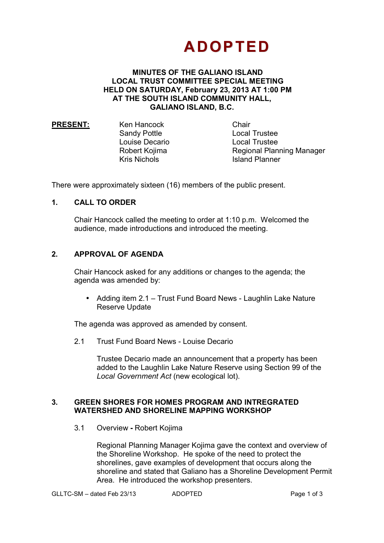# **ADOPTED**

#### **MINUTES OF THE GALIANO ISLAND LOCAL TRUST COMMITTEE SPECIAL MEETING HELD ON SATURDAY, February 23, 2013 AT 1:00 PM AT THE SOUTH ISLAND COMMUNITY HALL, GALIANO ISLAND, B.C.**

**PRESENT:** Ken Hancock Chair

Sandy Pottle **Local Trustee**  Louise Decario Local Trustee Robert Kojima Regional Planning Manager Kris Nichols **Island Planner** 

There were approximately sixteen (16) members of the public present.

## **1. CALL TO ORDER**

Chair Hancock called the meeting to order at 1:10 p.m. Welcomed the audience, made introductions and introduced the meeting.

## **2. APPROVAL OF AGENDA**

Chair Hancock asked for any additions or changes to the agenda; the agenda was amended by:

• Adding item 2.1 – Trust Fund Board News - Laughlin Lake Nature Reserve Update

The agenda was approved as amended by consent.

2.1 Trust Fund Board News - Louise Decario

Trustee Decario made an announcement that a property has been added to the Laughlin Lake Nature Reserve using Section 99 of the *Local Government Act* (new ecological lot).

## **3. GREEN SHORES FOR HOMES PROGRAM AND INTREGRATED WATERSHED AND SHORELINE MAPPING WORKSHOP**

3.1 Overview **-** Robert Kojima

Regional Planning Manager Kojima gave the context and overview of the Shoreline Workshop. He spoke of the need to protect the shorelines, gave examples of development that occurs along the shoreline and stated that Galiano has a Shoreline Development Permit Area. He introduced the workshop presenters.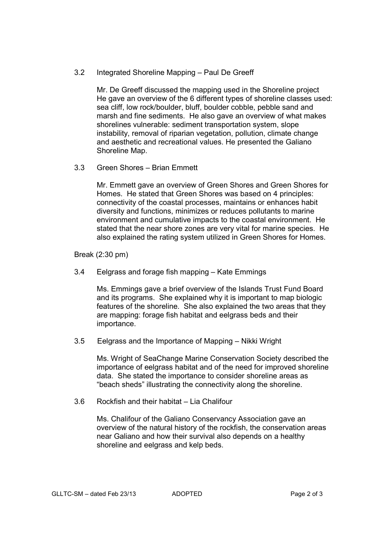3.2 Integrated Shoreline Mapping – Paul De Greeff

Mr. De Greeff discussed the mapping used in the Shoreline project He gave an overview of the 6 different types of shoreline classes used: sea cliff, low rock/boulder, bluff, boulder cobble, pebble sand and marsh and fine sediments. He also gave an overview of what makes shorelines vulnerable: sediment transportation system, slope instability, removal of riparian vegetation, pollution, climate change and aesthetic and recreational values. He presented the Galiano Shoreline Map.

3.3 Green Shores – Brian Emmett

Mr. Emmett gave an overview of Green Shores and Green Shores for Homes. He stated that Green Shores was based on 4 principles: connectivity of the coastal processes, maintains or enhances habit diversity and functions, minimizes or reduces pollutants to marine environment and cumulative impacts to the coastal environment. He stated that the near shore zones are very vital for marine species. He also explained the rating system utilized in Green Shores for Homes.

Break (2:30 pm)

3.4 Eelgrass and forage fish mapping – Kate Emmings

Ms. Emmings gave a brief overview of the Islands Trust Fund Board and its programs. She explained why it is important to map biologic features of the shoreline. She also explained the two areas that they are mapping: forage fish habitat and eelgrass beds and their importance.

3.5 Eelgrass and the Importance of Mapping – Nikki Wright

Ms. Wright of SeaChange Marine Conservation Society described the importance of eelgrass habitat and of the need for improved shoreline data. She stated the importance to consider shoreline areas as "beach sheds" illustrating the connectivity along the shoreline.

3.6 Rockfish and their habitat – Lia Chalifour

Ms. Chalifour of the Galiano Conservancy Association gave an overview of the natural history of the rockfish, the conservation areas near Galiano and how their survival also depends on a healthy shoreline and eelgrass and kelp beds.